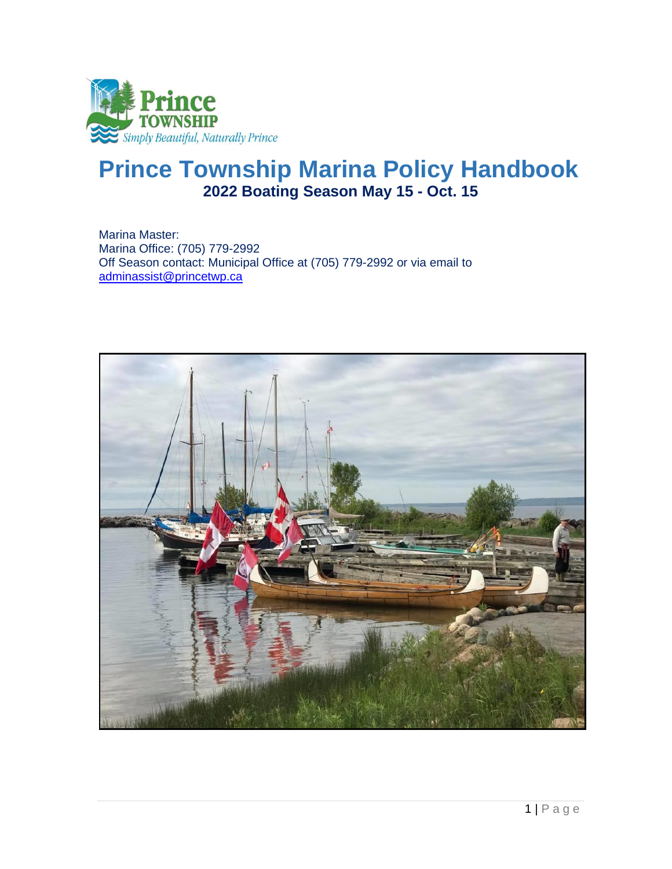

# **Prince Township Marina Policy Handbook 2022 Boating Season May 15 - Oct. 15**

Marina Master: Marina Office: (705) 779-2992 Off Season contact: Municipal Office at (705) 779-2992 or via email to [adminassist@princetwp.ca](mailto:adminassist@princetwp.ca)

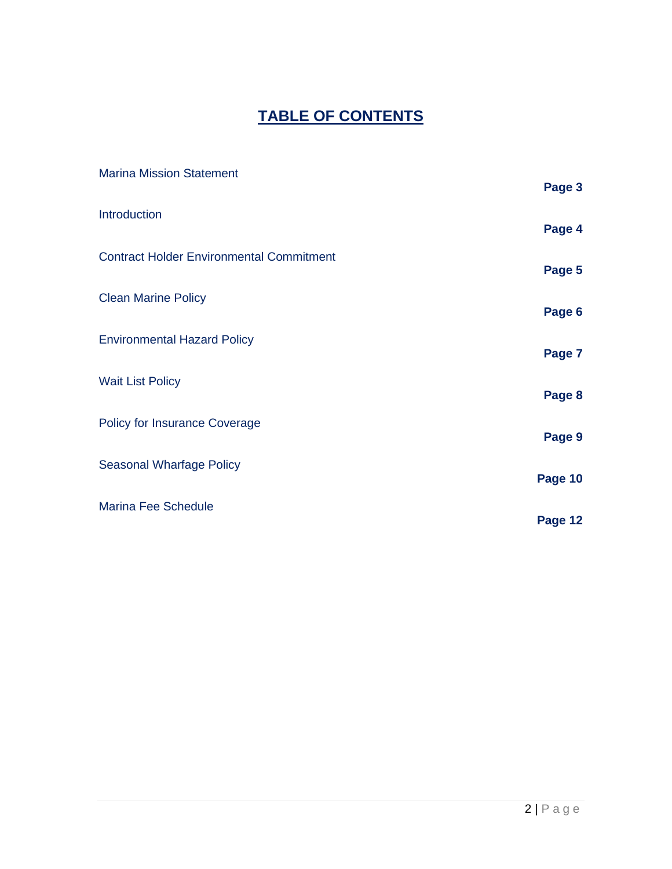## **TABLE OF CONTENTS**

| <b>Marina Mission Statement</b>                 | Page 3  |
|-------------------------------------------------|---------|
| Introduction                                    | Page 4  |
| <b>Contract Holder Environmental Commitment</b> | Page 5  |
| <b>Clean Marine Policy</b>                      | Page 6  |
| <b>Environmental Hazard Policy</b>              | Page 7  |
| <b>Wait List Policy</b>                         | Page 8  |
| <b>Policy for Insurance Coverage</b>            | Page 9  |
| <b>Seasonal Wharfage Policy</b>                 | Page 10 |
| <b>Marina Fee Schedule</b>                      | Page 12 |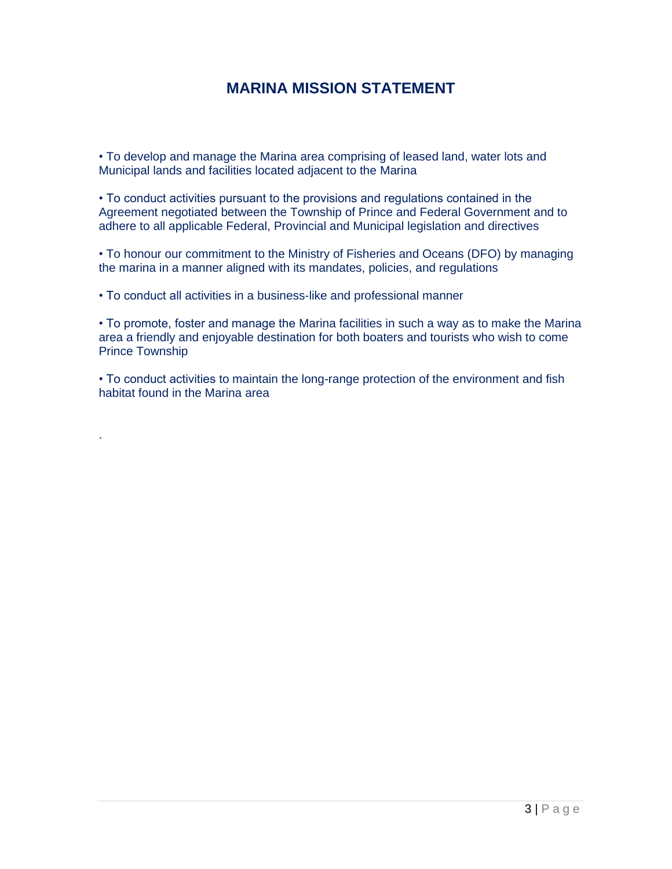#### **MARINA MISSION STATEMENT**

• To develop and manage the Marina area comprising of leased land, water lots and Municipal lands and facilities located adjacent to the Marina

• To conduct activities pursuant to the provisions and regulations contained in the Agreement negotiated between the Township of Prince and Federal Government and to adhere to all applicable Federal, Provincial and Municipal legislation and directives

• To honour our commitment to the Ministry of Fisheries and Oceans (DFO) by managing the marina in a manner aligned with its mandates, policies, and regulations

• To conduct all activities in a business-like and professional manner

.

• To promote, foster and manage the Marina facilities in such a way as to make the Marina area a friendly and enjoyable destination for both boaters and tourists who wish to come Prince Township

• To conduct activities to maintain the long-range protection of the environment and fish habitat found in the Marina area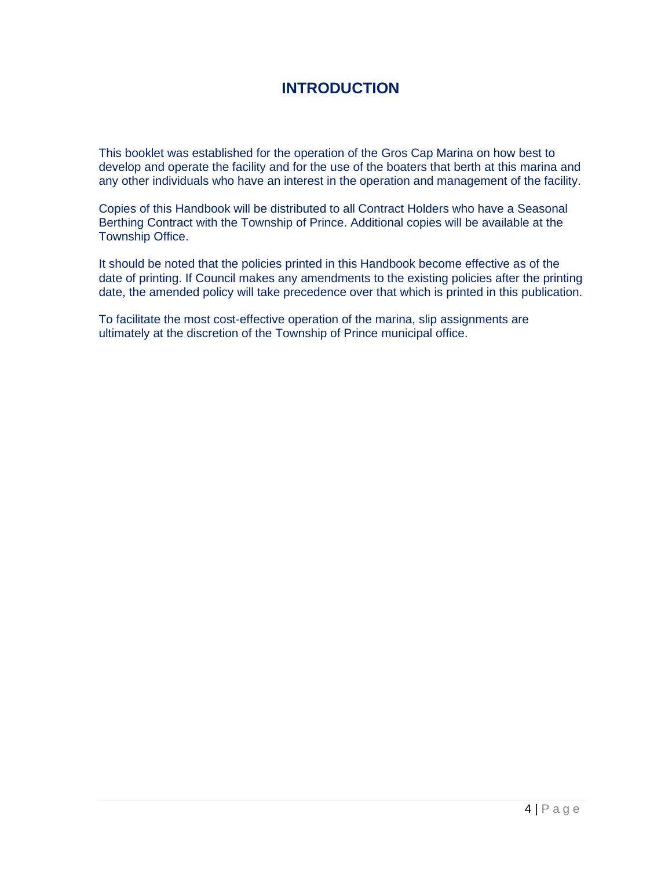#### **INTRODUCTION**

This booklet was established for the operation of the Gros Cap Marina on how best to develop and operate the facility and for the use of the boaters that berth at this marina and any other individuals who have an interest in the operation and management of the facility.

Copies of this Handbook will be distributed to all Contract Holders who have a Seasonal Berthing Contract with the Township of Prince. Additional copies will be available at the Township Office.

It should be noted that the policies printed in this Handbook become effective as of the date of printing. If Council makes any amendments to the existing policies after the printing date, the amended policy will take precedence over that which is printed in this publication.

To facilitate the most cost-effective operation of the marina, slip assignments are ultimately at the discretion of the Township of Prince municipal office.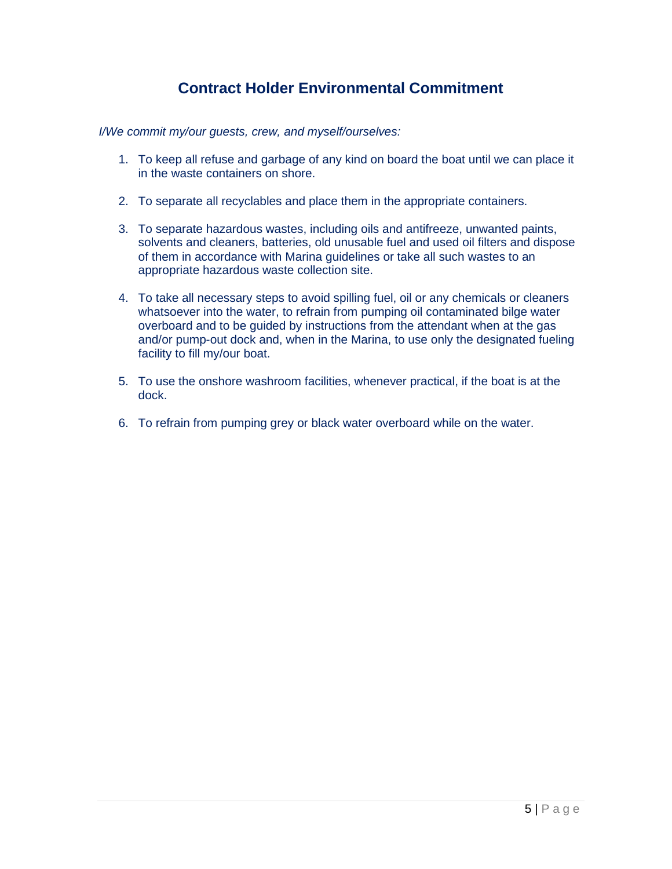#### **Contract Holder Environmental Commitment**

*I/We commit my/our guests, crew, and myself/ourselves:* 

- 1. To keep all refuse and garbage of any kind on board the boat until we can place it in the waste containers on shore.
- 2. To separate all recyclables and place them in the appropriate containers.
- 3. To separate hazardous wastes, including oils and antifreeze, unwanted paints, solvents and cleaners, batteries, old unusable fuel and used oil filters and dispose of them in accordance with Marina guidelines or take all such wastes to an appropriate hazardous waste collection site.
- 4. To take all necessary steps to avoid spilling fuel, oil or any chemicals or cleaners whatsoever into the water, to refrain from pumping oil contaminated bilge water overboard and to be guided by instructions from the attendant when at the gas and/or pump-out dock and, when in the Marina, to use only the designated fueling facility to fill my/our boat.
- 5. To use the onshore washroom facilities, whenever practical, if the boat is at the dock.
- 6. To refrain from pumping grey or black water overboard while on the water.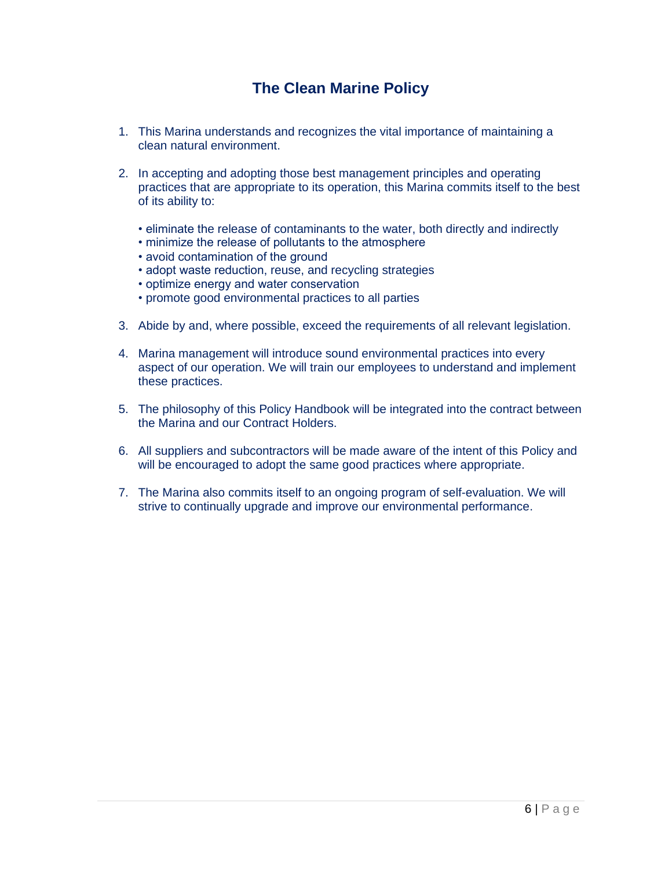### **The Clean Marine Policy**

- 1. This Marina understands and recognizes the vital importance of maintaining a clean natural environment.
- 2. In accepting and adopting those best management principles and operating practices that are appropriate to its operation, this Marina commits itself to the best of its ability to:
	- eliminate the release of contaminants to the water, both directly and indirectly
	- minimize the release of pollutants to the atmosphere
	- avoid contamination of the ground
	- adopt waste reduction, reuse, and recycling strategies
	- optimize energy and water conservation
	- promote good environmental practices to all parties
- 3. Abide by and, where possible, exceed the requirements of all relevant legislation.
- 4. Marina management will introduce sound environmental practices into every aspect of our operation. We will train our employees to understand and implement these practices.
- 5. The philosophy of this Policy Handbook will be integrated into the contract between the Marina and our Contract Holders.
- 6. All suppliers and subcontractors will be made aware of the intent of this Policy and will be encouraged to adopt the same good practices where appropriate.
- 7. The Marina also commits itself to an ongoing program of self-evaluation. We will strive to continually upgrade and improve our environmental performance.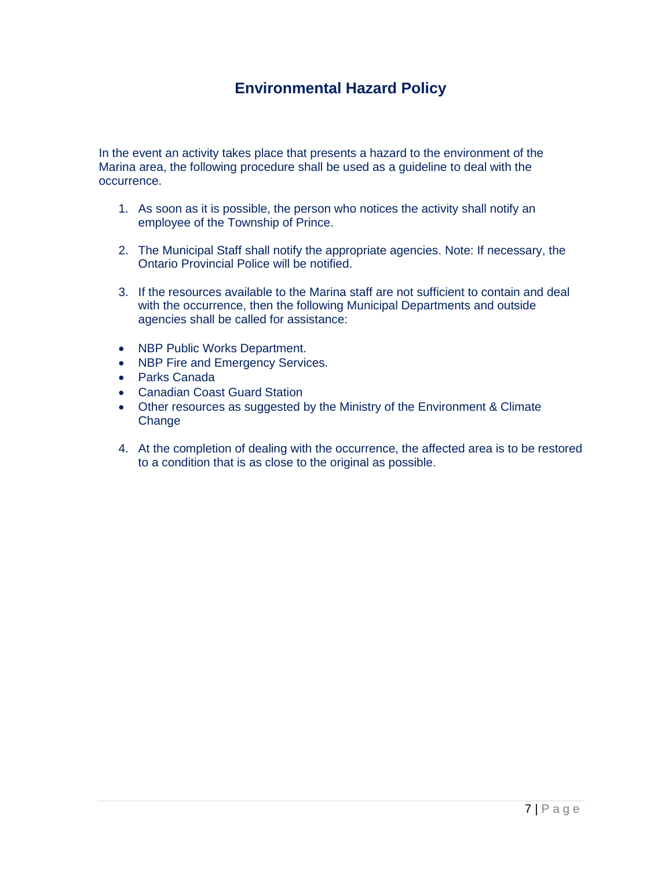#### **Environmental Hazard Policy**

In the event an activity takes place that presents a hazard to the environment of the Marina area, the following procedure shall be used as a guideline to deal with the occurrence.

- 1. As soon as it is possible, the person who notices the activity shall notify an employee of the Township of Prince.
- 2. The Municipal Staff shall notify the appropriate agencies. Note: If necessary, the Ontario Provincial Police will be notified.
- 3. If the resources available to the Marina staff are not sufficient to contain and deal with the occurrence, then the following Municipal Departments and outside agencies shall be called for assistance:
- NBP Public Works Department.
- NBP Fire and Emergency Services.
- Parks Canada
- Canadian Coast Guard Station
- Other resources as suggested by the Ministry of the Environment & Climate **Change**
- 4. At the completion of dealing with the occurrence, the affected area is to be restored to a condition that is as close to the original as possible.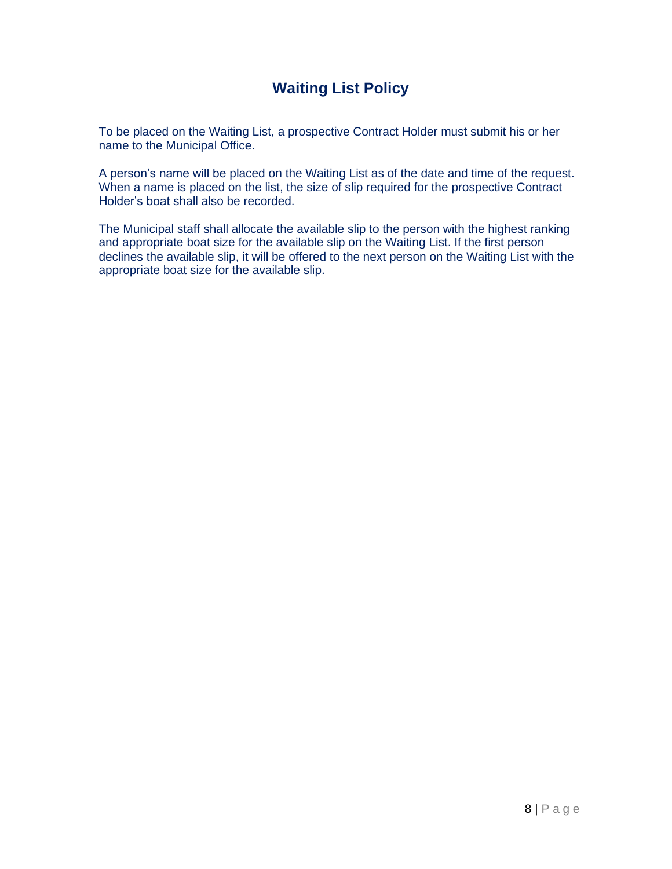#### **Waiting List Policy**

To be placed on the Waiting List, a prospective Contract Holder must submit his or her name to the Municipal Office.

A person's name will be placed on the Waiting List as of the date and time of the request. When a name is placed on the list, the size of slip required for the prospective Contract Holder's boat shall also be recorded.

The Municipal staff shall allocate the available slip to the person with the highest ranking and appropriate boat size for the available slip on the Waiting List. If the first person declines the available slip, it will be offered to the next person on the Waiting List with the appropriate boat size for the available slip.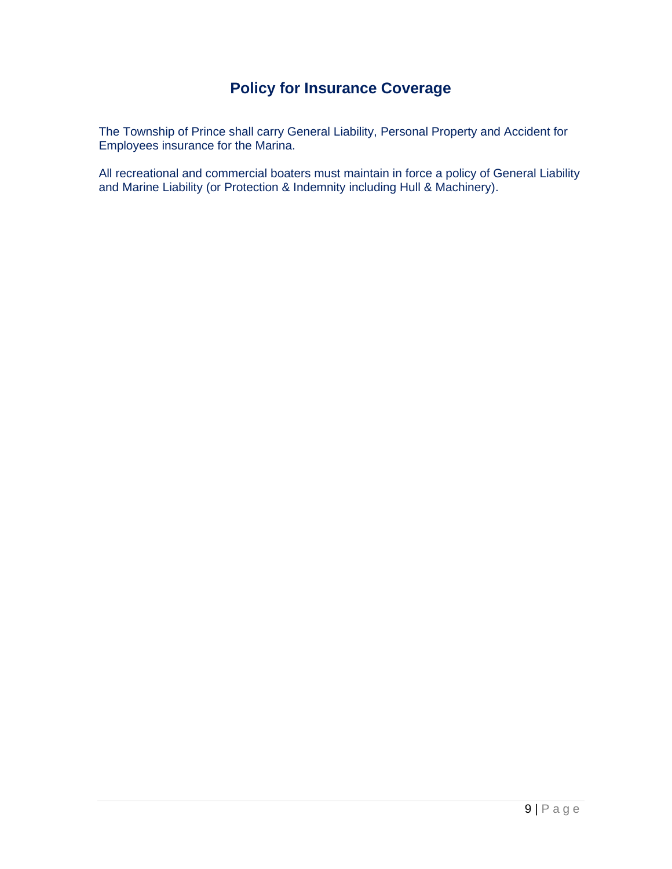### **Policy for Insurance Coverage**

The Township of Prince shall carry General Liability, Personal Property and Accident for Employees insurance for the Marina.

All recreational and commercial boaters must maintain in force a policy of General Liability and Marine Liability (or Protection & Indemnity including Hull & Machinery).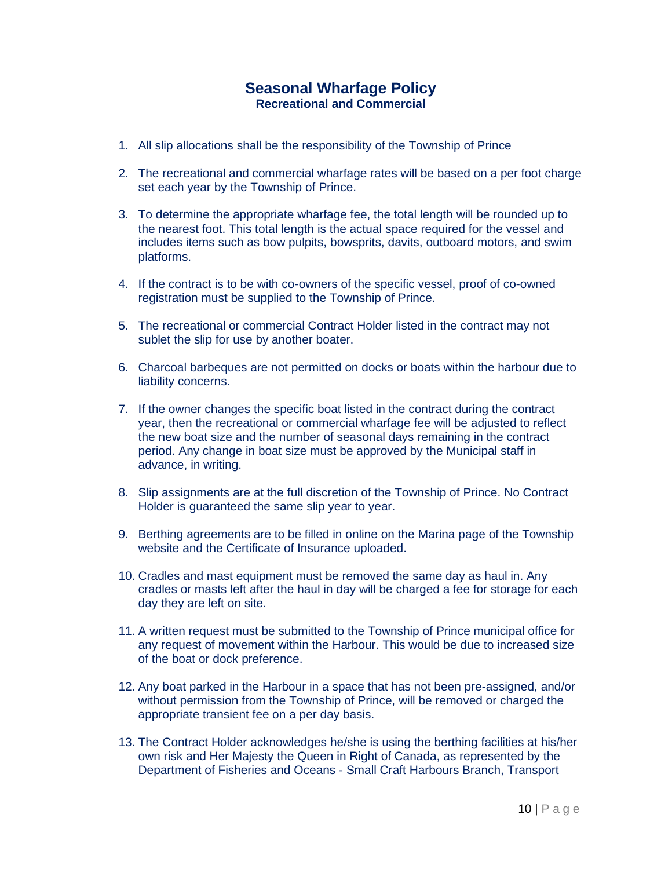#### **Seasonal Wharfage Policy Recreational and Commercial**

- 1. All slip allocations shall be the responsibility of the Township of Prince
- 2. The recreational and commercial wharfage rates will be based on a per foot charge set each year by the Township of Prince.
- 3. To determine the appropriate wharfage fee, the total length will be rounded up to the nearest foot. This total length is the actual space required for the vessel and includes items such as bow pulpits, bowsprits, davits, outboard motors, and swim platforms.
- 4. If the contract is to be with co-owners of the specific vessel, proof of co-owned registration must be supplied to the Township of Prince.
- 5. The recreational or commercial Contract Holder listed in the contract may not sublet the slip for use by another boater.
- 6. Charcoal barbeques are not permitted on docks or boats within the harbour due to liability concerns.
- 7. If the owner changes the specific boat listed in the contract during the contract year, then the recreational or commercial wharfage fee will be adjusted to reflect the new boat size and the number of seasonal days remaining in the contract period. Any change in boat size must be approved by the Municipal staff in advance, in writing.
- 8. Slip assignments are at the full discretion of the Township of Prince. No Contract Holder is guaranteed the same slip year to year.
- 9. Berthing agreements are to be filled in online on the Marina page of the Township website and the Certificate of Insurance uploaded.
- 10. Cradles and mast equipment must be removed the same day as haul in. Any cradles or masts left after the haul in day will be charged a fee for storage for each day they are left on site.
- 11. A written request must be submitted to the Township of Prince municipal office for any request of movement within the Harbour. This would be due to increased size of the boat or dock preference.
- 12. Any boat parked in the Harbour in a space that has not been pre-assigned, and/or without permission from the Township of Prince, will be removed or charged the appropriate transient fee on a per day basis.
- 13. The Contract Holder acknowledges he/she is using the berthing facilities at his/her own risk and Her Majesty the Queen in Right of Canada, as represented by the Department of Fisheries and Oceans - Small Craft Harbours Branch, Transport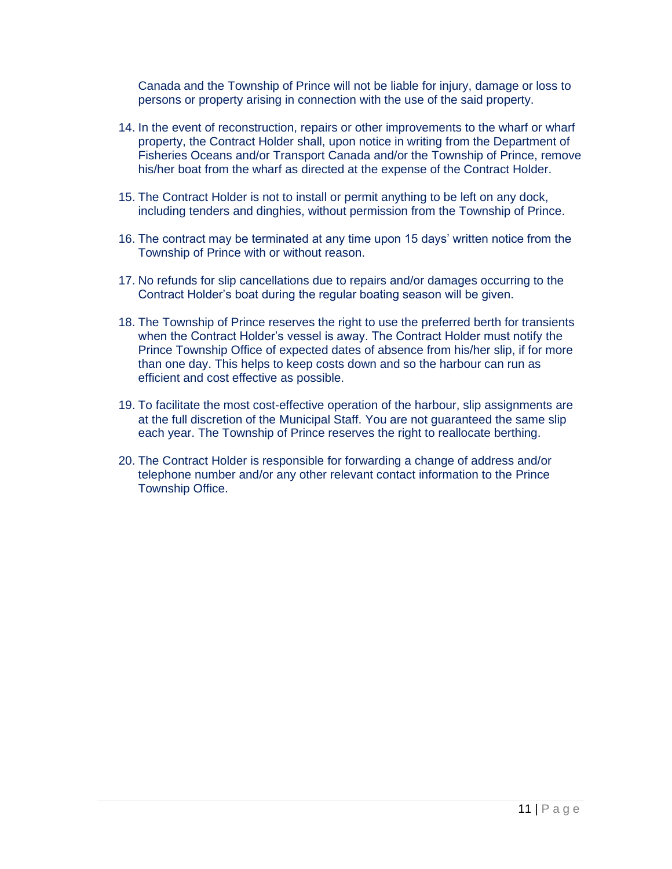Canada and the Township of Prince will not be liable for injury, damage or loss to persons or property arising in connection with the use of the said property.

- 14. In the event of reconstruction, repairs or other improvements to the wharf or wharf property, the Contract Holder shall, upon notice in writing from the Department of Fisheries Oceans and/or Transport Canada and/or the Township of Prince, remove his/her boat from the wharf as directed at the expense of the Contract Holder.
- 15. The Contract Holder is not to install or permit anything to be left on any dock, including tenders and dinghies, without permission from the Township of Prince.
- 16. The contract may be terminated at any time upon 15 days' written notice from the Township of Prince with or without reason.
- 17. No refunds for slip cancellations due to repairs and/or damages occurring to the Contract Holder's boat during the regular boating season will be given.
- 18. The Township of Prince reserves the right to use the preferred berth for transients when the Contract Holder's vessel is away. The Contract Holder must notify the Prince Township Office of expected dates of absence from his/her slip, if for more than one day. This helps to keep costs down and so the harbour can run as efficient and cost effective as possible.
- 19. To facilitate the most cost-effective operation of the harbour, slip assignments are at the full discretion of the Municipal Staff. You are not guaranteed the same slip each year. The Township of Prince reserves the right to reallocate berthing.
- 20. The Contract Holder is responsible for forwarding a change of address and/or telephone number and/or any other relevant contact information to the Prince Township Office.